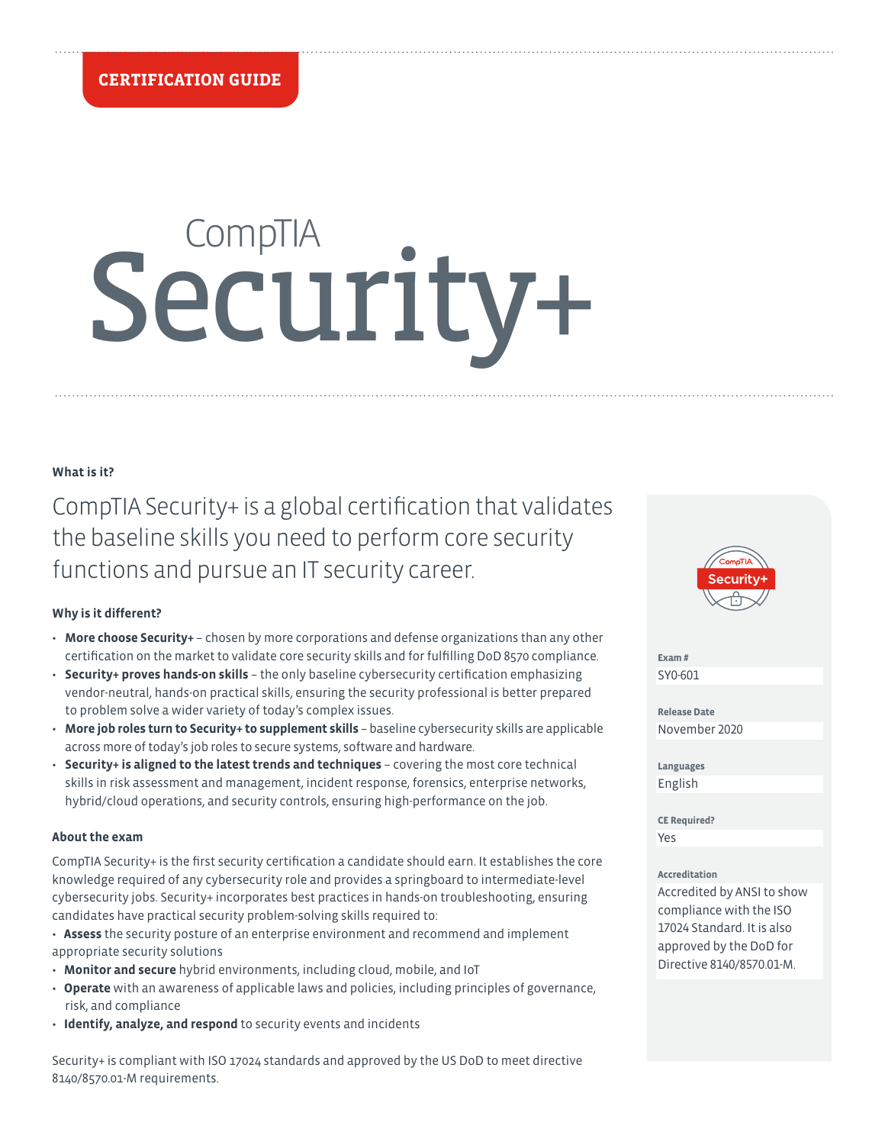# Security+

# **What is it?**

CompTIA Security+ is a global certification that validates the baseline skills you need to perform core security functions and pursue an IT security career.

# **Why is it different?**

- **More choose Security+** chosen by more corporations and defense organizations than any other certification on the market to validate core security skills and for fulfilling DoD 8570 compliance.
- **Security+ proves hands-on skills** the only baseline cybersecurity certification emphasizing vendor-neutral, hands-on practical skills, ensuring the security professional is better prepared to problem solve a wider variety of today's complex issues.
- **More job roles turn to Security+ to supplement skills** baseline cybersecurity skills are applicable across more of today's job roles to secure systems, software and hardware.
- **Security+ is aligned to the latest trends and techniques** covering the most core technical skills in risk assessment and management, incident response, forensics, enterprise networks, hybrid/cloud operations, and security controls, ensuring high-performance on the job.

# **About the exam**

CompTIA Security+ is the first security certification a candidate should earn. It establishes the core knowledge required of any cybersecurity role and provides a springboard to intermediate-level cybersecurity jobs. Security+ incorporates best practices in hands-on troubleshooting, ensuring candidates have practical security problem-solving skills required to:

• **Assess** the security posture of an enterprise environment and recommend and implement appropriate security solutions

- **Monitor and secure** hybrid environments, including cloud, mobile, and IoT
- **Operate** with an awareness of applicable laws and policies, including principles of governance, risk, and compliance
- **Identify, analyze, and respond** to security events and incidents

Security+ is compliant with ISO 17024 standards and approved by the US DoD to meet directive 8140/8570.01-M requirements.



**Exam #** SY0-601

**Release Date** November 2020

**Languages** English

**CE Required?** Yes

# **Accreditation**

Accredited by ANSI to show compliance with the ISO 17024 Standard. It is also approved by the DoD for Directive 8140/8570.01-M.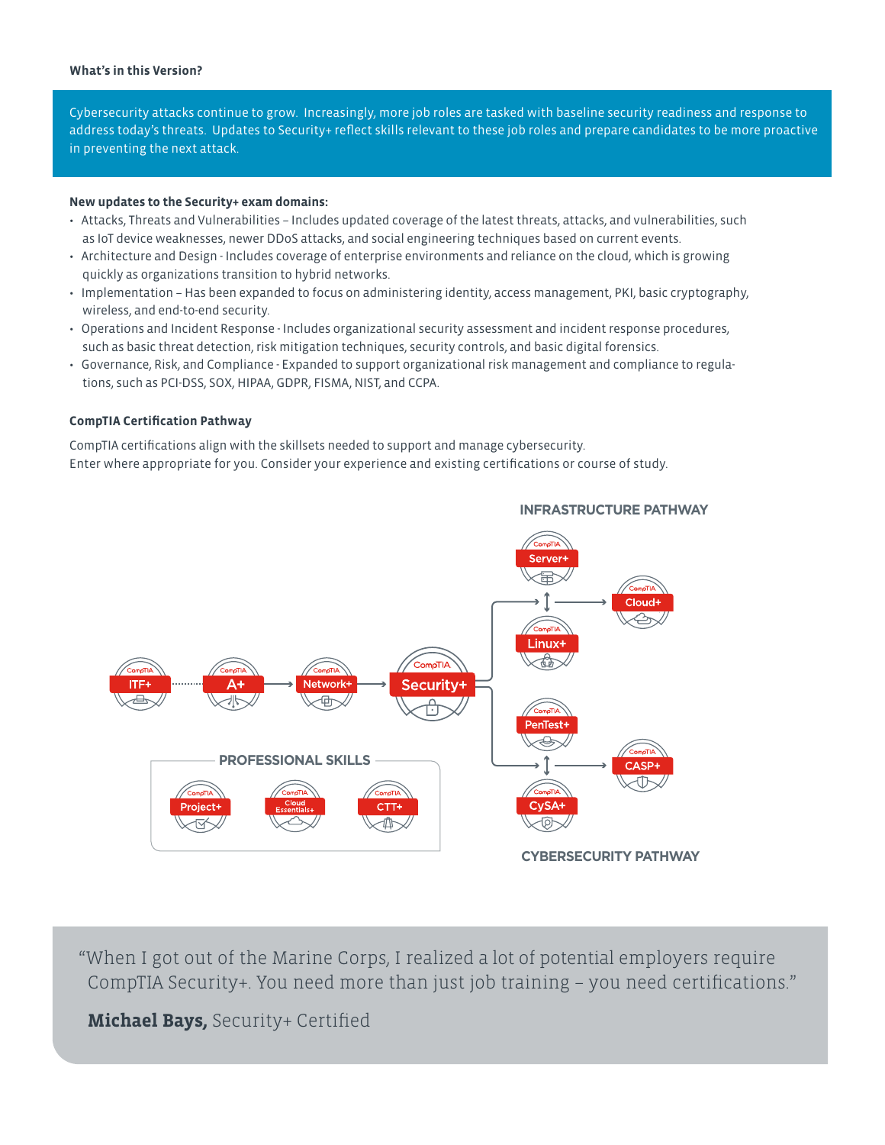# **What's in this Version?**

Cybersecurity attacks continue to grow. Increasingly, more job roles are tasked with baseline security readiness and response to address today's threats. Updates to Security+ reflect skills relevant to these job roles and prepare candidates to be more proactive in preventing the next attack.

# **New updates to the Security+ exam domains:**

- Attacks, Threats and Vulnerabilities Includes updated coverage of the latest threats, attacks, and vulnerabilities, such as IoT device weaknesses, newer DDoS attacks, and social engineering techniques based on current events.
- Architecture and Design Includes coverage of enterprise environments and reliance on the cloud, which is growing quickly as organizations transition to hybrid networks.
- Implementation Has been expanded to focus on administering identity, access management, PKI, basic cryptography, wireless, and end-to-end security.
- Operations and Incident Response Includes organizational security assessment and incident response procedures, such as basic threat detection, risk mitigation techniques, security controls, and basic digital forensics.
- Governance, Risk, and Compliance Expanded to support organizational risk management and compliance to regulations, such as PCI-DSS, SOX, HIPAA, GDPR, FISMA, NIST, and CCPA.

# **CompTIA Certification Pathway**

CompTIA certifications align with the skillsets needed to support and manage cybersecurity. Enter where appropriate for you. Consider your experience and existing certifications or course of study.



**INFRASTRUCTURE PATHWAY**

"When I got out of the Marine Corps, I realized a lot of potential employers require CompTIA Security+. You need more than just job training – you need certifications."

**Michael Bays,** Security+ Certified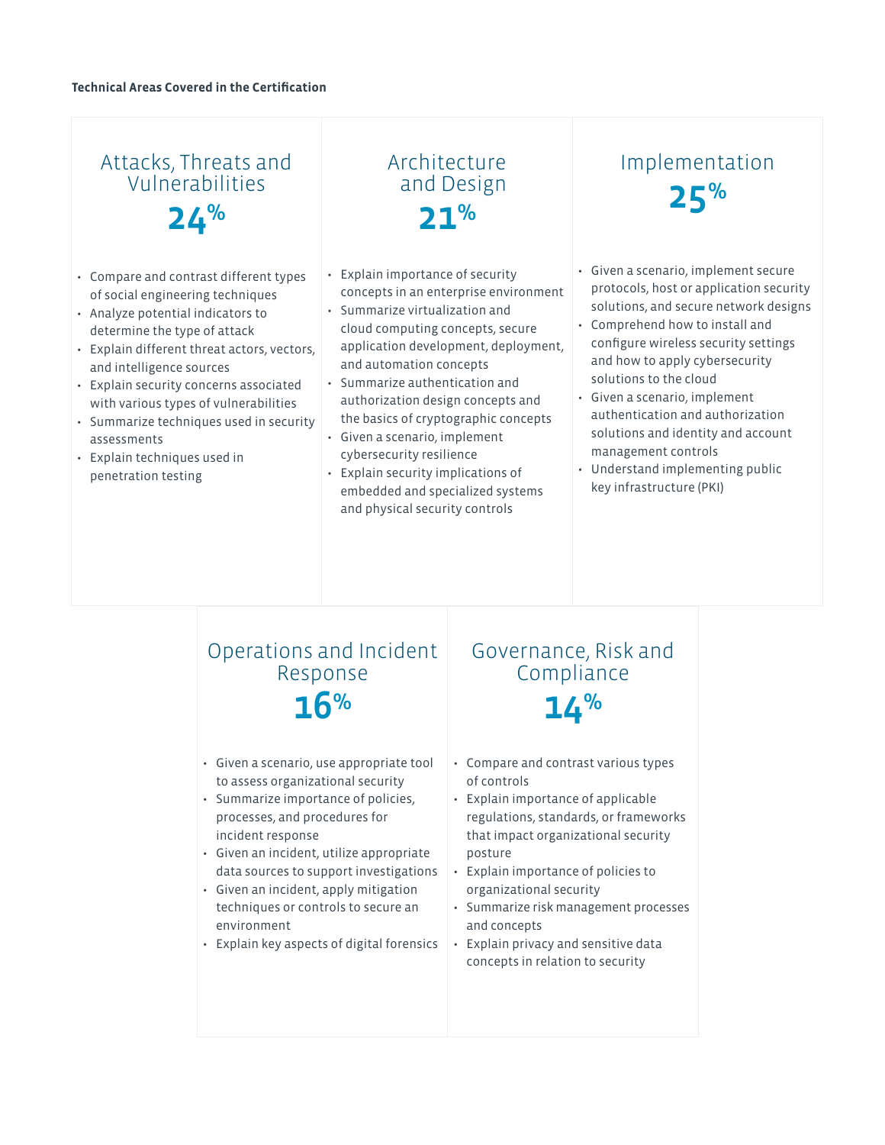# Attacks, Threats and Vulnerabilities 24%

- Compare and contrast different types of social engineering techniques
- Analyze potential indicators to determine the type of attack
- Explain different threat actors, vectors, and intelligence sources
- Explain security concerns associated with various types of vulnerabilities
- Summarize techniques used in security assessments
- Explain techniques used in penetration testing

# Architecture and Design  $21%$

- Explain importance of security concepts in an enterprise environment
- Summarize virtualization and cloud computing concepts, secure application development, deployment, and automation concepts
- Summarize authentication and authorization design concepts and the basics of cryptographic concepts
- Given a scenario, implement cybersecurity resilience
- Explain security implications of embedded and specialized systems and physical security controls

# Implementation 25%

- Given a scenario, implement secure protocols, host or application security solutions, and secure network designs
- Comprehend how to install and configure wireless security settings and how to apply cybersecurity solutions to the cloud
- Given a scenario, implement authentication and authorization solutions and identity and account management controls
- Understand implementing public key infrastructure (PKI)

# Operations and Incident Response 16%

- Given a scenario, use appropriate tool to assess organizational security
- Summarize importance of policies, processes, and procedures for incident response
- Given an incident, utilize appropriate data sources to support investigations
- Given an incident, apply mitigation techniques or controls to secure an environment
- Explain key aspects of digital forensics

# Governance, Risk and Compliance  $14%$

- Compare and contrast various types of controls
- Explain importance of applicable regulations, standards, or frameworks that impact organizational security posture
- Explain importance of policies to organizational security
- Summarize risk management processes and concepts
- Explain privacy and sensitive data concepts in relation to security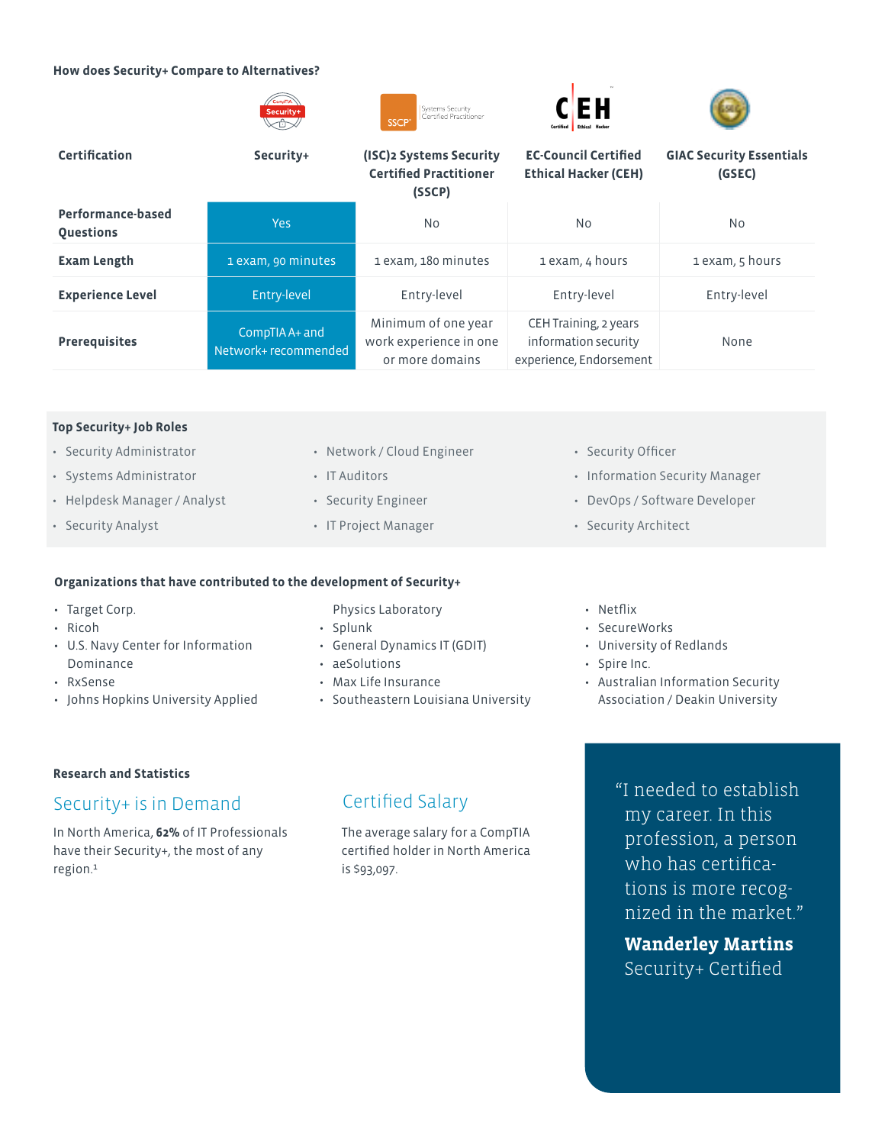### **How does Security+ Compare to Alternatives?**









| <b>Certification</b>                  | Security+                              | (ISC)2 Systems Security<br><b>Certified Practitioner</b><br>(SSCP) | <b>EC-Council Certified</b><br>Ethical Hacker (CEH)                      | <b>GIAC Security Essentials</b><br>(GSEC) |
|---------------------------------------|----------------------------------------|--------------------------------------------------------------------|--------------------------------------------------------------------------|-------------------------------------------|
| Performance-based<br><b>Questions</b> | <b>Yes</b>                             | N <sub>o</sub>                                                     | No.                                                                      | No.                                       |
| <b>Exam Length</b>                    | 1 exam, 90 minutes                     | 1 exam, 180 minutes                                                | 1 exam, 4 hours                                                          | 1 exam, 5 hours                           |
| <b>Experience Level</b>               | Entry-level                            | Entry-level                                                        | Entry-level                                                              | Entry-level                               |
| <b>Prerequisites</b>                  | CompTIA A+ and<br>Network+ recommended | Minimum of one year<br>work experience in one<br>or more domains   | CEH Training, 2 years<br>information security<br>experience, Endorsement | None                                      |

### **Top Security+ Job Roles**

- Security Administrator
- Systems Administrator
- Helpdesk Manager / Analyst
- Security Analyst
- Network / Cloud Engineer
- IT Auditors
- Security Engineer
- IT Project Manager

# **Organizations that have contributed to the development of Security+**

- Target Corp.
- Ricoh
- U.S. Navy Center for Information Dominance
- RxSense
- Johns Hopkins University Applied

Physics Laboratory

- Splunk
- General Dynamics IT (GDIT)
- aeSolutions
- Max Life Insurance
- Southeastern Louisiana University
- Security Officer
- Information Security Manager
- DevOps / Software Developer
- Security Architect

### • Netflix

- SecureWorks
- University of Redlands
- Spire Inc.
- Australian Information Security Association / Deakin University

# **Research and Statistics**

# Security+ is in Demand Certified Salary

In North America, **62%** of IT Professionals have their Security+, the most of any region.1

The average salary for a CompTIA certified holder in North America is \$93,097.

"I needed to establish my career. In this profession, a person who has certifications is more recognized in the market."

**Wanderley Martins** Security+ Certified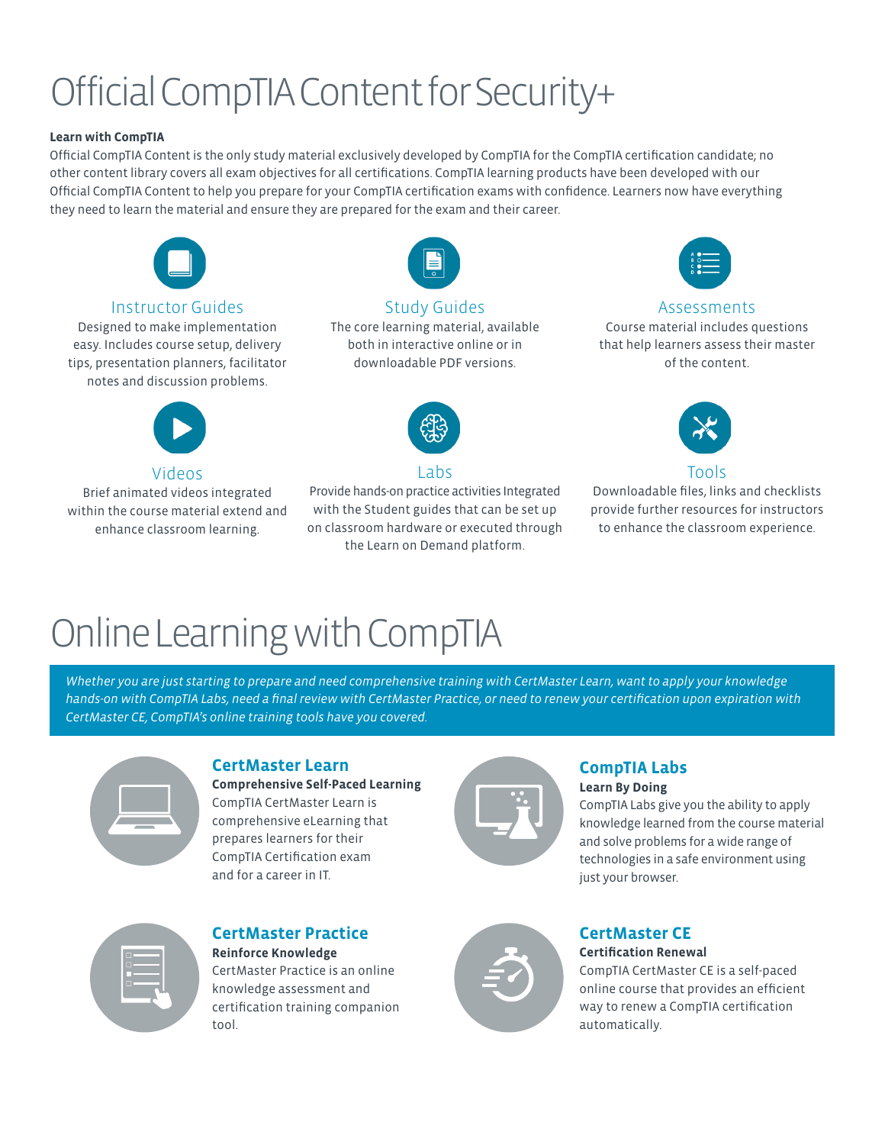# Official CompTIA Content for Security+

# **Learn with CompTIA**

Official CompTIA Content is the only study material exclusively developed by CompTIA for the CompTIA certification candidate; no other content library covers all exam objectives for all certifications. CompTIA learning products have been developed with our Official CompTIA Content to help you prepare for your CompTIA certification exams with confidence. Learners now have everything they need to learn the material and ensure they are prepared for the exam and their career.



# Instructor Guides

Designed to make implementation easy. Includes course setup, delivery tips, presentation planners, facilitator notes and discussion problems.



# Videos

Brief animated videos integrated within the course material extend and enhance classroom learning.



# Study Guides

The core learning material, available both in interactive online or in downloadable PDF versions.



# Labs

Provide hands-on practice activities Integrated with the Student guides that can be set up on classroom hardware or executed through the Learn on Demand platform.



# Assessments

Course material includes questions that help learners assess their master of the content.



Downloadable files, links and checklists provide further resources for instructors to enhance the classroom experience.

# Online Learning with CompTIA

*Whether you are just starting to prepare and need comprehensive training with CertMaster Learn, want to apply your knowledge hands-on with CompTIA Labs, need a final review with CertMaster Practice, or need to renew your certification upon expiration with CertMaster CE, CompTIA's online training tools have you covered.*



# **CertMaster Learn**

**Comprehensive Self-Paced Learning** CompTIA CertMaster Learn is comprehensive eLearning that prepares learners for their CompTIA Certification exam and for a career in IT.



# **CompTIA Labs Learn By Doing**

CompTIA Labs give you the ability to apply knowledge learned from the course material and solve problems for a wide range of technologies in a safe environment using just your browser.



# **CertMaster Practice**

**Reinforce Knowledge** CertMaster Practice is an online knowledge assessment and certification training companion tool.



# **CertMaster CE Certification Renewal**

CompTIA CertMaster CE is a self-paced online course that provides an efficient way to renew a CompTIA certification automatically.